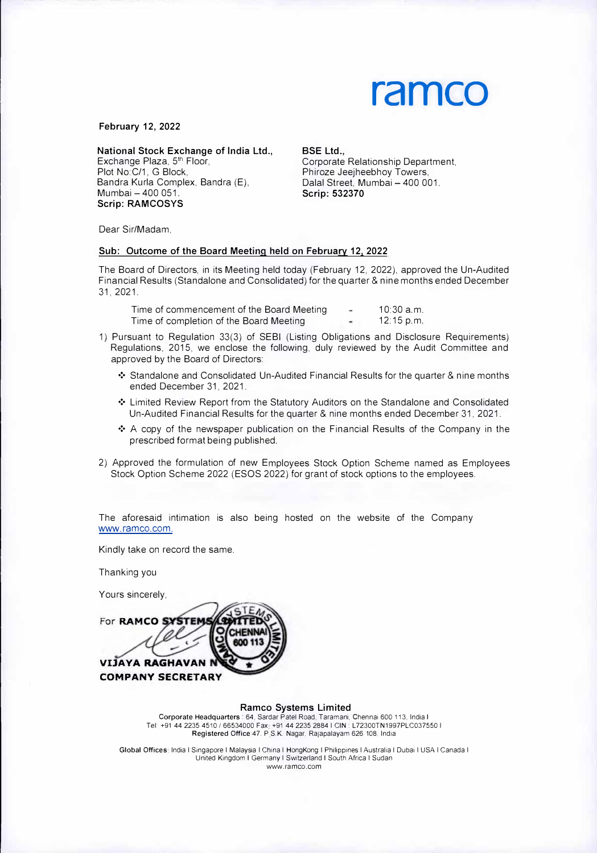

**February 12, 2022** 

**National Stock Exchange of India Ltd.,** 

Exchange Plaza, 5<sup>th</sup> Floor, Plot No:C/1, G Block, Bandra Kurla Complex, Bandra (E), Mumbai - 400 051 **Scrip: RAMCOSYS** 

**BSE Ltd.,** 

Corporate Relationship Department, Phiroze Jeejheebhoy Towers, Dalal Street, Mumbai - 400 001. **Scrip: 532370** 

Dear Sir/Madam,

## **Sub: Outcome of the Board Meeting held on February 12, 2022**

The Board of Directors, in its Meeting held today (February 12, 2022), approved the Un-Audited Financial Results (Standalone and Consolidated) for the quarter & nine months ended December 31, 2021.

Time of commencement of the Board Meeting  $\sim$  10:30 a.m. Time of completion of the Board Meeting 12:15 p.m.

- 1) Pursuant to Regulation 33(3) of SEBI (Listing Obligations and Disclosure Requirements) Regulations, 2015, we enclose the following, duly reviewed by the Audit Committee and approved by the Board of Directors:
	- ❖ Standalone and Consolidated Un-Audited Financial Results for the quarter & nine months ended December 31, 2021.
	- ❖ Limited Review Report from the Statutory Auditors on the Standalone and Consolidated Un-Audited Financial Results for the quarter & nine months ended December 31, 2021.
	- $\div$  A copy of the newspaper publication on the Financial Results of the Company in the prescribed format being published.
- 2) Approved the formulation of new Employees Stock Option Scheme named as Employees Stock Option Scheme 2022 (ESOS 2022) for grant of stock options to the employees.

The aforesaid intimation is also being hosted on the website of the Company www.ramco.com.

Kindly take on record the same.

Thanking you

Yours sincerely,

For RAMCO SYSTEM CHENN **AND VIJAYA RAGHAVAN COMPANY SECRETARY** 

## **Ramco Systems Limited**

**Corporate Headquarters:** 64, Sardar Patel Road, Taramani, Chennai 600 113, India I Tel +91 44 2235 4510 *I* 66534000 Fax +91 44 2235 2884 I CIN: L72300TN1997PLC037550 I Registered Office: 47, P.S.K. Nagar. Rajapalayam 626 108, India

Global Offices India I Singapore I Malaysia I China I HongKong I Philippines I Australia I Dubai I USA I Canada I United Kingdom I Germany I Switzerland I South Africa I Sudan www.ramco.com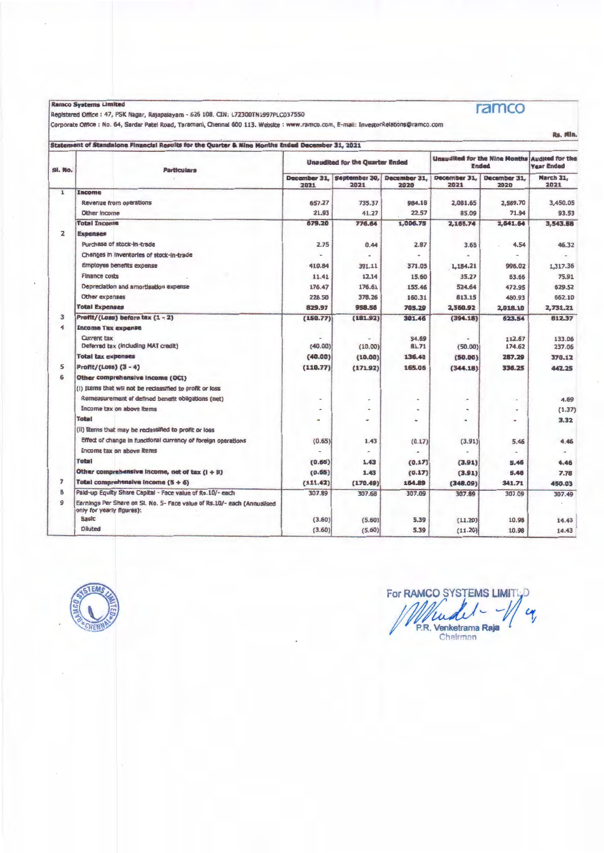Ramco Systems Limited

Registered Office : 47, PSK Nagar, Rajapalayam - 626 108. CIN: L72300TN1997PLC037550<br>|Corporate Office : No. 64, Sardar Patel Road, Taramani, Chennal 600 113. Website : www.ramco.com, E-mail: InvestorRelations@ramco.com

## Statement of Standalone Financial Results for the Quarter & Nine Months Ended December 31, 2021

| SI. No.        |                                                           | <b>Particulars</b>                                                      |                          | <b>Unaudited for the Quarter Ended</b> |                      |                      | <b>Unaudited for the Nine Months</b><br><b>Ended</b> | <b>Audited for the</b><br><b>Year Ended</b> |
|----------------|-----------------------------------------------------------|-------------------------------------------------------------------------|--------------------------|----------------------------------------|----------------------|----------------------|------------------------------------------------------|---------------------------------------------|
|                |                                                           |                                                                         | December 31.<br>2021     | September 30,<br>2021                  | December 31.<br>2020 | December 31.<br>2021 | December 31,<br>2020                                 | March 31,<br>2021                           |
| $\mathbf 1$    | Income                                                    |                                                                         |                          |                                        |                      |                      |                                                      |                                             |
|                | Revenue from operations                                   |                                                                         | 657.27                   | 735.37                                 | 984.18               | 2.081.65             | 2,569.70                                             | 3,450.05                                    |
|                | Other Income                                              |                                                                         | 21.93                    | 41.27                                  | 22.57                | 85.09                | 71.94                                                | 93.53                                       |
|                | <b>Total Income</b>                                       |                                                                         | 679.20                   | 776.64                                 | 1,006.75             | 2,166.74             | 2,641.64                                             | 3,543.58                                    |
| $\overline{z}$ | <b>Expenses</b>                                           |                                                                         |                          |                                        |                      |                      |                                                      |                                             |
|                | Purchase of stock-in-trade                                |                                                                         | 2.75                     | 0.44                                   | 2.87                 | 3.65                 | 4.54                                                 | 46.32                                       |
|                | Changes in inventories of stock-in-trade                  |                                                                         | $\overline{\phantom{0}}$ | $\blacksquare$                         |                      |                      |                                                      |                                             |
|                | Employee benefits expense                                 |                                                                         | 410.84                   | 391.11                                 | 371.05               | 1,184.21             | 996.02                                               | 1,317.36                                    |
|                | <b>Finance costs</b>                                      |                                                                         | 11.41                    | 12.14                                  | 15.60                | 35.27                | 63.66                                                | 75.91                                       |
|                | Depreciation and amortisation expense                     |                                                                         | 176.47                   | 176.61                                 | 155.46               | 524.64               | 472.95                                               | 629.52                                      |
|                | Other expenses                                            |                                                                         | 228.50                   | 378.26                                 | 160.31               | 813.15               | 480.93                                               | 662.10                                      |
|                | <b>Total Expenses</b>                                     |                                                                         | 829.97                   | 958.56                                 | 705.29               | 2,560.92             | 2.018.10                                             | 2,731.21                                    |
| 3              | Profit/(Loss) before tax $(1 - 2)$                        |                                                                         | (150.77)                 | (181.92)                               | 301.46               | (394.18)             | 623.54                                               | 812.37                                      |
| 4              | <b>Income Tax expense</b>                                 |                                                                         |                          |                                        |                      |                      |                                                      |                                             |
|                | Current tax                                               |                                                                         |                          |                                        | 54.69                |                      | 112.67                                               | 133.06                                      |
|                | Deferred tax (including MAT credit)                       |                                                                         | (40.00)                  | (10.00)                                | 81.71                | (50.00)              | 174.62                                               | 237.06                                      |
|                | <b>Total tax expenses</b>                                 |                                                                         | (40.00)                  | (10.00)                                | 136.40               | (50.00)              | 287.29                                               | 370.12                                      |
| 5              | Profit/(Loss) (3 - 4)                                     |                                                                         | (110.77)                 | (171.92)                               | 165.06               | (344.18)             | 336.25                                               | 442.25                                      |
| 6              | Other comprehensive income (OCI)                          |                                                                         |                          |                                        |                      |                      |                                                      |                                             |
|                | (I) Items that will not be reclassified to profit or loss |                                                                         |                          |                                        |                      |                      |                                                      |                                             |
|                | Remeasurement of defined benefit obligations (net)        |                                                                         |                          |                                        |                      |                      | $\overline{\phantom{a}}$                             | 4.69                                        |
|                | Income tax on above Items                                 |                                                                         |                          |                                        |                      |                      | $\overline{\phantom{a}}$                             | (1.37)                                      |
|                | <b>Total</b>                                              |                                                                         | $\overline{\phantom{a}}$ |                                        | ٠                    |                      | ۰                                                    | 3.32                                        |
|                | (ii) Idems that may be reclassified to profit or loss     |                                                                         |                          |                                        |                      |                      |                                                      |                                             |
|                |                                                           | Effect of change in functional currency of foreign operations           | (0.65)                   | 1.43                                   | (0.17)               | (3.91)               | 5.46                                                 | 4.46                                        |
|                | Income tax on above items                                 |                                                                         |                          |                                        |                      |                      |                                                      |                                             |
|                | <b>Total</b>                                              |                                                                         | (0.65)                   | 1.43                                   | (0.17)               | (3.91)               | 5.46                                                 | 4.46                                        |
|                | Other comprehensive income, net of tax $(l + li)$         |                                                                         | (0.65)                   | 1.43                                   | (0.17)               | (3.91)               | 5.46                                                 | 7.78                                        |
| $\overline{z}$ | Total comprehensive income $(5 + 6)$                      |                                                                         | (111.42)                 | (170.49)                               | 154.89               | (348.09)             | 341.71                                               | 450.03                                      |
| 8              |                                                           | Paid-up Equity Share Capital - Face value of Rs.10/- each               | 307.89                   | 307.68                                 | 307.09               | 307.89               | 307.09                                               | 307.49                                      |
| $\mathbf{Q}$   | only for yearly figures):                                 | Earnings Per Share on SI. No. 5- Face value of Rs.10/- each (Annualised |                          |                                        |                      |                      |                                                      |                                             |
|                | Baste                                                     |                                                                         | (3.60)                   | (5.60)                                 | 5.39                 | (11.20)              | 10.98                                                | 14.43                                       |
|                | <b>Diluted</b>                                            |                                                                         | (3.60)                   | (5.60)                                 | 5.39                 | (11.20)              | 10.98                                                | 14.43                                       |



For RAMCO SYSTEMS LIMITE  $\mathcal{L}$ P.R. Venketrama Raja



Rs. Nin.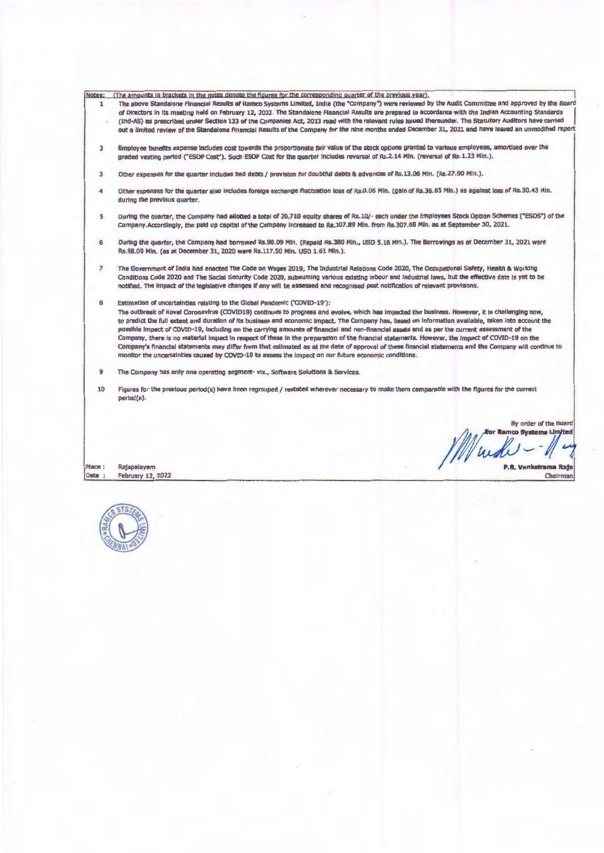|  |  |  |  |  | <u>Notes:     (The amounts in brackets in the notes denote the figures for the corresponding quarter of the previous year).     </u> |  |  |
|--|--|--|--|--|--------------------------------------------------------------------------------------------------------------------------------------|--|--|
|  |  |  |  |  |                                                                                                                                      |  |  |

- Notes: [The amounts in brackets in the notes denote the figures for the corresponding quarter of the previous year).<br>The above Standalone Financial Results of Ramco Systems Limited, India (the "Company") were reviewed by t (ind-AS) as prescribed under Section 133 of the Companies Act, 2013 read with the relevant rules Issued thereunder. The Statutory Auditors have carried out a llmlted review of the Standalone Financial Results of the Company for the nine months ended December 31, 2021 and have Issued an unmodltled report
	- 2 Employee benefits expense Includes cost towards the proportionate fair value of the stock options granted to various employees, amortised over the graded vesting period ("ESOP Cost"). Such ESOP Cost for the quarter includes reversal of Rs.2.14 Min. (reversal of Rs.1.23 Min.).
	- 3 Other expenses for the quarter Includes bad debts/ provision for doubtful debts & advances or Rs.13.06 Min. (Rs.27.90 Min.).
	- Other expenses for the quarter also Includes foreign exchange fluctuation loss of Rs.0.06 Min. (gain of Rs.36.85 Min.) as against loss of Rs.30.43 Min. during the previous quarter.
	- 5 During the quarter, the Company had allotted a total of 20,710 equity shares of Rs.10/- each under the Employees Stock Option Schemes ('ESOS' ) of the Company.Accordingly, the paid up capital of the Company Increased tu Rs.307.89 Min. from Rs.307.68 Min. as at September 30, 2021.
	- 6 During the quarter, the Company had borrowed Rs.98.09 Min. (Repaid Rs.380 Min., USD 5.16 Min.). The Borrowings as at December 31, 2021 were Rs.98.09 Min. (as at December 31, 2020 were Rs.117.50 Min. USD 1.61 Min.).
	- The Government of India had enacted The Code on Wages 2019, The Industrial Relations Code 2020, The Occupational Safety, Health & Working Conditions Code 2020 and The SOclal Security Code 2020, subsuming various existing labour and Industrial laws, but the effective date Is yet to be notified. The Impact of the legislative changes If any will be assessed and recognised post notification or relevant provisions.
	- 8 Estimation of uncertainties relating to the Global Pandemic ('COVID-19'):

The outbreak of Novel Coronavirus (COVID19) continues to progress and evolve, which has Impacted the business. However, It is challenging now, to predict the full extent and duration of Its business and economic Impact. The Company has, based on Information available, taken Into account the possible impact of COVID-19, including on the carrying amounts of financial and non-financial assets and as per the current assessment of the Company, there Is no material Impact In respect of these In the preparation of the Rnanclal statements. However, the Impact of COVID-19 on the company's Rnanclal statements may differ from that estimated as at the date of approval of these financial statements and the Company wlll continue to monitor the uncertainties caused by COVID-19 to assess the Impact on our future economic conditions.

- 9 The Company has only one operating segment- viz., Software Solutions & Services.
- 10 Figures for the previous perlod(s) have been regrouped/ restated wherever necessary to make them comparable with the figures for the current period(s).

Place : Date : Rajapalayam February 12, 2022

By order of the Board For Ramco Systems Limited ws

P.R. Venketrama Raja Chairman

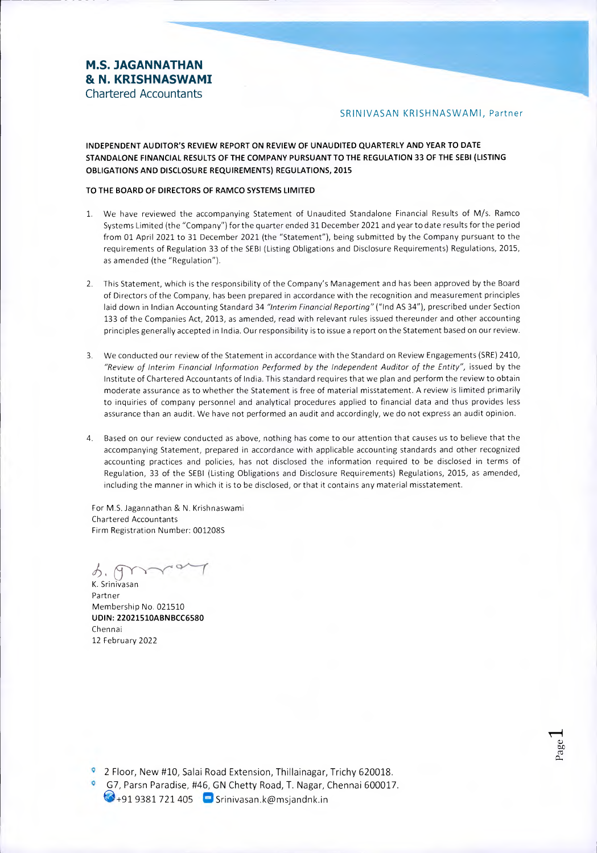# **M.S. JAGANNATHAN 8t N. KRISHNASWAMI**  Chartered Accountants

## SRINIVASAN KRISHNASWAMI, Partner

**INDEPENDENT AUDITOR'S REVIEW REPORT ON REVIEW OF UNAUDITED QUARTERLY AND YEAR TO DATE STANDALONE FINANCIAL RESULTS OF THE COMPANY PURSUANT TO THE REGULATION 33 OF THE SEBI (LISTING OBLIGATIONS AND DISCLOSURE REQUIREMENTS) REGULATIONS, 2015** 

## **TO THE BOARD OF DIRECTORS OF RAMCO SYSTEMS LIMITED**

- 1. We have reviewed the accompanying Statement of Unaudited Standalone Financial Results of M/s. Ramco Systems Limited (the "Company") for the quarter ended 31 December 2021 and year to date results for the period from 01 April 2021 to 31 December 2021 (the "Statement"), being submitted by the Company pursuant to the requirements of Regulation 33 of the SEBI (Listing Obligations and Disclosure Requirements) Regulations, 2015, as amended (the "Regulation").
- 2. This Statement, which is the responsibility of the Company's Management and has been approved by the Board of Directors of the Company, has been prepared in accordance with the recognition and measurement principles laid down in Indian Accounting Standard 34 "Interim Financial Reporting" ("Ind AS 34"), prescribed under Section 133 of the Companies Act, 2013, as amended, read with relevant rules issued thereunder and other accounting principles generally accepted in India. Our responsibility is to issue a report on the Statement based on our review.
- 3. We conducted our review of the Statement in accordance with the Standard on Review Engagements (SRE) 2410, "Review of Interim Financial Information Performed by the Independent Auditor of the Entity", issued by the Institute of Chartered Accountants of India. This standard requires that we plan and perform the review to obtain moderate assurance as to whether the Statement is free of material misstatement. A review is limited primarily to inquiries of company personnel and analytical procedures applied to financial data and thus provides less assurance than an audit. We have not performed an audit and accordingly, we do not express an audit opinion.
- 4. Based on our review conducted as above, nothing has come to our attention that causes us to believe that the accompanying Statement, prepared in accordance with applicable accounting standards and other recognized accounting practices and policies, has not disclosed the information required to be disclosed in terms of Regulation, 33 of the SEBI (Listing Obligations and Disclosure Requirements) Regulations, 2015, as amended, including the manner in which it is to be disclosed, or that it contains any material misstatement.

For M.S. Jagannathan & N. Krishnaswami Chartered Accountants Firm Registration Number: 001208S

か、M

K. Srinivasan Partner Membership No. 021510 **UDIN: 22021510ABNBCC6580**  Chennai 12 February 2022

2 Floor, New #10, Salai Road Extension, Thillainagar, Trichy 620018.

G7, Parsn Paradise, #46, GN Chetty Road, T. Nagar, Chennai 600017.  $\bigcirc$ +91 9381 721 405  $\bigcirc$  Srinivasan.k@msjandnk.in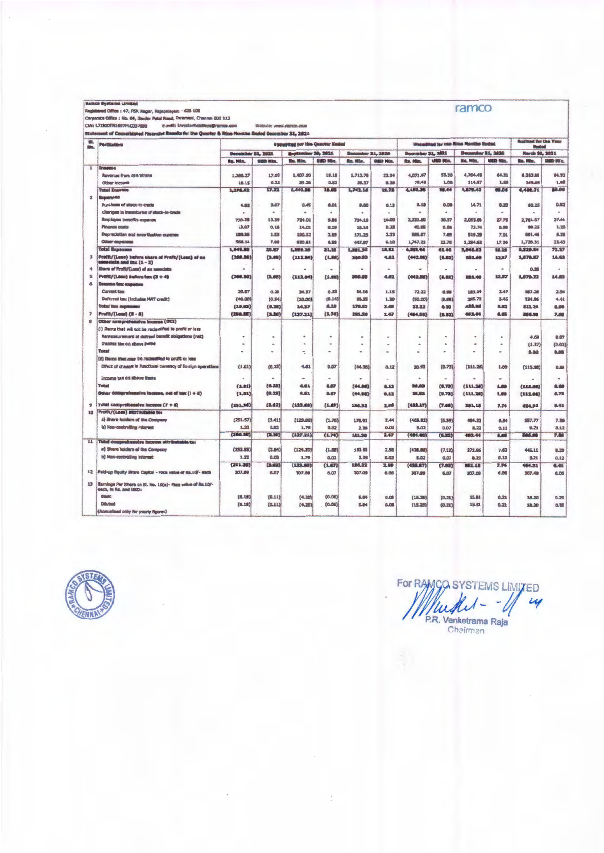| <b>Ractico Systems Limitad</b> |  |
|--------------------------------|--|
|--------------------------------|--|

-<br>Matsica: veww.ramco.com

| film.        | <b>Particulars</b>                                                                                                          |                          |                              | Unsuffied for the Quarter Hoded |                          |                          |                          |                          |                | Unquelited for the Mins Manths Unded |                          | <b>Auditad for the Year</b><br><b>End of</b> |                  |
|--------------|-----------------------------------------------------------------------------------------------------------------------------|--------------------------|------------------------------|---------------------------------|--------------------------|--------------------------|--------------------------|--------------------------|----------------|--------------------------------------|--------------------------|----------------------------------------------|------------------|
|              |                                                                                                                             | December 31, 2021        |                              | September 20, 2621              |                          | <b>Depamber 31, 2020</b> |                          | <b>Becomber 31, 2021</b> |                | December 21, 2020                    |                          | March St., 2021                              |                  |
|              |                                                                                                                             | <b>Ro. Min.</b>          | <b>GED HIS.</b>              | <b>Ba. Min.</b>                 | USD Nin.                 | Ro. Win.                 | <b>USD Nin.</b>          | Ro. Him.                 | USD Http.      | Re. Min.                             | <b>USD Nin.</b>          | <b>Bx. Min.</b>                              | <b>USED MER.</b> |
| $\mathbf{1}$ | <b>Enseme</b>                                                                                                               |                          |                              |                                 |                          |                          |                          |                          |                |                                      |                          |                                              |                  |
|              | <b>Reversue from operations</b>                                                                                             | 1,260.27                 | 17.00                        | 1,407.10                        | 19.15                    | 1,713.78                 | 23.34                    | 4.071.87                 | \$5.36         | 4.764.45                             | 64.31                    | 6,263.06                                     | 84.92            |
|              | Other Income                                                                                                                | 16.15                    | 0.22                         | 39.26                           | 0.53                     | 28.37                    | 0.38                     | 78.49                    | 1.08           | 114.97                               | 3.68                     | 145.65                                       | 1.98             |
|              | <b>Total Encome</b>                                                                                                         | 1,276.62                 | 17.72                        | 5,440.36                        | 18.00                    | 1,742.18                 | 23.73                    | 4,181.96                 | 86.44          | 4.878.43                             | 53.05                    | 6,408.71                                     | 86.00            |
| $\mathbf{z}$ | <b>Broomsed</b>                                                                                                             |                          |                              |                                 |                          |                          |                          |                          |                |                                      |                          |                                              |                  |
|              | Purchase of steels-in-trade                                                                                                 | 4.82                     | 0.07                         | 0.45                            | 0.01                     | 9.80                     | 0.13                     | 6.18                     | 0.08           | 14.71                                | 0.30                     | 60.25                                        | 0.92             |
|              | Chenges in invanitories of stock-in-trade                                                                                   |                          | $\blacksquare$               |                                 | ä                        | $\alpha$                 |                          | $\alpha$                 | ٠              | ä                                    |                          | ٠                                            | $\alpha$         |
|              | <b>Ibuployes benefits expanse</b>                                                                                           | 770.39                   | 10.39                        | 724.01                          | 9.85                     | 734.19                   | 10.00                    | 2,233,60                 | 30.37          | 2.055.86                             | 27.75                    | 2,761.57                                     | 37.44            |
|              | <b>Pinance costs</b>                                                                                                        | 12.07                    | 0.18                         | 14.01                           | 0.19                     | 18.14                    | 0.28                     | 40.85                    | 0.86           | 73.74                                | 0.98                     | 98.35                                        | 1.20             |
|              | Depreciation and emorthation expanse                                                                                        | 189,38                   | 2.88                         | 190.12                          | 2.59                     | 171.33                   | 2.33                     | S85.87                   | 7.89           | 519.39                               | 7.01                     | 691.46                                       | 9.38             |
|              | Other expenses                                                                                                              | S58,14                   | 7.68                         | 630.61                          | 8.98                     | 447.97                   | 6.10                     | 1,747.23                 | 23.78          | 1,284.62                             | 17.34                    | 1,726.31                                     | 23.43            |
|              | <b>Total Busenses</b>                                                                                                       | 1,545.90                 | 30.87                        | 1,599.20                        | 21,23                    | 1,381.33                 | 18.81                    | 4,593.94                 | 61.46          | 3,848.63                             | 93.20                    | 8, \$29.84                                   | 72.27            |
| з            | Prafit/(Luss) before share of Prafit/(Loss) of an<br>ssocciate and tax (1 - 2)                                              | [269.38]                 | (3.05)                       | (112.86)                        | (1, 98)                  | 360.03                   | 4.82                     | (442.80)                 | (6.02)         | 931.40                               | 12.87                    | 1,878.87                                     | 14.63            |
| 4            | Shere of Profit/(Loss) of an associate                                                                                      | $\overline{a}$           | $\qquad \qquad \blacksquare$ |                                 | $\rightarrow$            | $\bullet$                | ٠                        | $\blacksquare$           | $\blacksquare$ | $\blacksquare$                       | $\overline{a}$           | 0.35                                         | $\sim$           |
| š            | Profit/(Leas) instero tex (3 + 4)                                                                                           | (260.30)                 | (8,683)                      | (112.86)                        | <b>EX.003</b>            | 360.93                   | 4.82                     | (442,88)                 | (0.82)         | 831.40                               | 12.87                    | 1.070.77                                     | 14.83            |
| 6            | <b>Ennoune tax: «soponou</b>                                                                                                |                          |                              |                                 |                          |                          |                          |                          |                |                                      |                          |                                              |                  |
|              | <b>Current tax</b>                                                                                                          | 20.97                    | 0.38                         | 24.37                           | 0.33                     | 86.18                    | 1.15                     | 72.22                    | 0.98           | 183.24                               | 2.47                     | 187.20                                       | 2.94             |
|              | <b>Daferred tax (Includes MAT credit)</b>                                                                                   | (40.00)                  | (0.54)                       | (10.00)                         | (0.14)                   | 95.35                    | 1.30                     | (50.00)                  | (0.68)         | 265.72                               | 3.45                     | 324.96                                       | 4.41             |
|              | <b>Tokaż kest mapunismu</b>                                                                                                 | (3.9.03)                 | (0.20)                       | 34.37                           | 0.30                     | 170.83                   | 2.48                     | 33,32                    | 0,30           | 438.98                               | <b>IL.02</b>             | 812.24                                       | 6.05             |
| ,            | Profit/(Logs) (ii - d)                                                                                                      | (280.38)                 | (3.30)                       | (127.21)                        | (1.74)                   | 181.78                   | 2.47                     | (484.00)                 | (6.32)         | 483.44                               | 4.65                     | 366.90                                       | 7.80             |
| ß            | Other comprehensive Income (OCL)                                                                                            |                          |                              |                                 |                          |                          |                          |                          |                |                                      |                          |                                              |                  |
|              | (i) Dams that will not be reclassified to profit or less                                                                    |                          |                              |                                 |                          |                          |                          |                          |                |                                      |                          |                                              |                  |
|              | Remeasurement of defined benefit obligations (net)                                                                          | ۰                        | ٠                            |                                 |                          |                          |                          |                          | ٠              |                                      | ٠                        | 4.69                                         | 0.07             |
|              | <b>Income bex on above items</b>                                                                                            | $\overline{\phantom{a}}$ | ۰                            | $\bullet$                       | $\overline{\phantom{a}}$ | ٠                        | $\blacksquare$           | ٠                        | ٠              | $\bullet$                            | ٠                        | (1.37)                                       | (0.02)           |
|              | Total                                                                                                                       | $\tilde{\phantom{a}}$    | ×                            | ÷.                              | $\ddot{\phantom{1}}$     | ۰                        | $\overline{\phantom{0}}$ | $\overline{a}$           | $\overline{a}$ | $\overline{\phantom{a}}$             | $\overline{\phantom{0}}$ | 3,32                                         | 6.05             |
|              | (ii) illeren that may be reclassified to profit or loss                                                                     |                          |                              |                                 |                          |                          |                          |                          |                |                                      |                          |                                              |                  |
|              | Effect of change in functions currency of foreign operations                                                                | (1.01)                   | (0.23)                       | 4.61                            | 0.07                     | (44.95)                  | 0.12                     | 30.93                    | (0.73)         | (111.26)                             | 1.09                     | (115.98)                                     | 0.58             |
|              | Income tax on above ibanu                                                                                                   |                          | ۰                            | $\overline{\phantom{a}}$        | $\sim$                   | $\sim$                   | $\overline{\phantom{a}}$ | $\sim$                   | $\omega$       | ٠                                    | ٠                        |                                              | $\bullet$        |
|              | Total                                                                                                                       | (1.01)                   | (4.23)                       | 4.51                            | 8.87                     | (44.88)                  | 8.12                     | 110,03                   | (0.78)         | ${11.24}$                            | 5.00                     | (115,98)                                     | 0.08             |
|              | Other comprehensive income, net of tax () + ii)                                                                             | (1.01)                   | (0.23)                       | 4.81                            | 0.07                     | (44.98)                  | 8.83                     | 30.93                    | (0.73)         | ${111.20}$                           | 5,000                    | (112.68)                                     | 8.73             |
| 9            | Tatal comprehansive income (7 + 8)                                                                                          | (251.36)                 | (3.62)                       | (122.80)                        | (1.87)                   | 136,82                   | 2.50                     | (432.87)                 | (7.00)         | 381,18                               | 7.74                     | 484.32                                       |                  |
| 10           | <b>Profit/(Loga) attributable to:</b>                                                                                       |                          |                              |                                 |                          |                          |                          |                          |                |                                      |                          |                                              | <b>IL-61</b>     |
|              | a) Share holders of the Contpany                                                                                            | (251.57)                 | (3, 41)                      | 1129.001                        | (1.76)                   | 175.91                   | 2.44                     | (469.82)                 | (6.39)         | 484.22                               | 6.54                     | 557.77                                       | 7.56             |
|              | is) Non-controlling interest                                                                                                | 1.22                     | 0.02                         | 1,79                            | 0.02                     | 2.38                     | 0.02                     | 5.02                     | 0.07           | 8.32                                 | 0.11                     | 9.21                                         |                  |
|              |                                                                                                                             | (280.58)                 | (1.90)                       | (127.21)                        | (1,74)                   | 181.30                   | 2.47                     | (484.80)                 | (6.37)         | 482.44                               | 6.45                     | 566.96                                       | 0.12<br>7.66     |
|              | 11 Tabel comprehensive income attributable to:                                                                              |                          |                              |                                 |                          |                          |                          |                          |                |                                      |                          |                                              |                  |
|              | a) Share holders of the Company                                                                                             | (252.58)                 | (3.84)                       | (124.39)                        | (1.60)                   | 133.93                   | 2.55                     | (438.89)                 | (7.12)         | 372.96                               | 7.83                     | 445.11                                       | 0.28             |
|              | b) Non-controlling interest                                                                                                 | 1.22                     | 8.02                         | 1.79                            | 0.02                     | 2.38                     | 0.03                     | 5.02                     | 0.07           | 8.22                                 |                          |                                              |                  |
|              |                                                                                                                             | (251.36)                 | (3.82)                       | (133,60)                        |                          | 196.92                   |                          |                          |                |                                      | 0.11                     | 9.21                                         | 0.12             |
|              |                                                                                                                             |                          |                              |                                 | (1.67)                   |                          | 2.50                     | (438.87)                 | (L)            | 341.14                               | 7.74                     | 454.32                                       | 6.41             |
| 13           | 12 Paid-up Equity Siturn Capital - Face value of Rs.10/- each<br>Earnings Par Shara on St. No. 10(a)- Face value of Rs.10/- | 307.99                   | 6.07                         | 307.68                          | 6.07                     | 307.09                   | 6.05                     | 307.09                   | 6.07           | 307.09                               | 6.06                     | 307.49                                       | 8.05             |
|              | each, in Rs. and USD:<br><b>Basic</b>                                                                                       |                          |                              |                                 |                          |                          |                          |                          |                |                                      |                          |                                              |                  |
|              |                                                                                                                             | (8.19)                   | (0.11)                       | (4.20)                          | (0.06)                   | <b>E.B6</b>              | 0.00                     | (15.20)                  | (0.21)         | 15.81                                | 0.21                     | 18,20                                        | 0.26             |
|              | Distribute                                                                                                                  | (6.19)                   | (0,11)                       | (4, 20)                         | [0.06]                   | 5.84                     | 0.08                     | (15, 28)                 | (0.21)         | 15.81                                | 0.22                     | 18.20                                        | 0.25             |
|              | (Annualised only for yearly figures)                                                                                        |                          |                              |                                 |                          |                          |                          |                          |                |                                      |                          |                                              |                  |



For RANGO SYSTEMS LIMITED  $\mathcal{L}$ Muchel-÷ U P.R. Venketrama Raja

ramco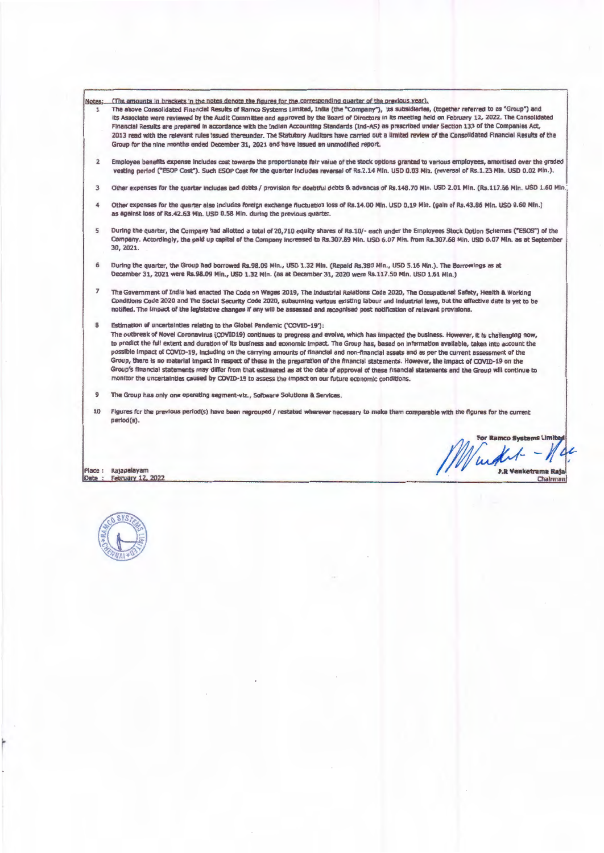**Notes;**  (The amounts in brackets in the notes denote the figures for the corresponding quarter of the previous year).

- The above consolidated Financial Results of Ramco Systems Limited, India (the •company"), Its subsidiaries, (together referred to as ' Group") and  $\mathbf{I}$ Its Associate were reviewed by the Audit Committee and approved by the Board of Directors In Its meeting held on February 12, 2022. The Consolidated Financial Results are prepared In accordance with the Indian Accounting Standards (Ind-AS) as prescribed under Section 133 of the Companies Act, 2013 read with the relevant rules Issued thereunder. The Statutory Auditors have carried out a limited review of the Consolidated Financial Results of the Group tor the nine months ended December 31, 2021 and have Issued an unmodified report.
- 2 Employee benefits expense Includes cost towards the proportionate fair value of the stock options granted to various employees, amortised over the graded vesting period ("ESOP Cost"). Such ESOP Cost for the quarter includes reversal of Rs.2.14 Min. USD 0.03 Min. (reversal of Rs.1.23 Min. USD 0.02 Min.).
- 3 Other expenses for the quarter includes bad debts / provision for doubtful debts & advances of Rs.148.70 Min. USD 2.01 Min. (Rs.117.66 Min. USD 1.60 Min.
- 4 Other expenses for the quarter also includes foreign exchange fluctuation loss of Rs.14.00 Min. USD 0.19 Min. (gain of Rs.43.86 Min. USD 0.60 Min.) as against loss or Rs.42.63 Min. USO 0.58 Min. during the previous quarter.
- 5 During the quarter, the Company had allotted a total of 20,710 equity shares of Rs.10/- each under the Employees Stock Option Schemes ("ESOS") of the Company. Accordingly, the paid up capital of the Company Increased to Rs.307.89 Min. USD 6.07 Min. from Rs.307.68 Min. USD 6.07 Min. as at September 30, 2021.
- 6 During the quarter, the Group had borrowed Rs.98.09 Min., USO 1.32 Min. (Repaid Rs.380 Min., USO 5.16 Min.). The Borrowings as at December 31, 2021 were Rs.98.09 Min., USO 1.32 Min. (as at December 31, 2020 were Rs.117.50 Min. USO 1.61 Min.)
- 7 The Government of India had enacted The Code on **Wages** 2019, The Industrial Relations Code 2020, The Occupational Safety, Health & working Conditions Code 2020 and The Social Security Code 2020, subsuming various existing labour and Industrial laws, but the effective date ts yet to be notlfted. The Impact of the legislative changes If any **will be** assessed and recognised post notification of relevant prov1Slons.
- 8 Estimation of uncertainties relating to the Global Pandemic ('COVID-19'):

The outbreak of Novel Coronavtrus (COVlD19) continues to progress and evolve, which has Impacted the business. However, It ts challenging now, to predict the full extent and duration of Its business and economic Impact. The Group has, based on Information available, taken Into account the possible Impact of COVID-19, lndudlng on the carrying amounts of financial and non-financial assets and as per the current assessment of the Group, there ts no material Impact In respect of these In the preparation of the financial statements. However, the Impact of COVl0-19 on the Group's financial statements may differ from that estimated as at the date of approval of these nnanctal statements and the Group will continue to monitor the uncertainties **caused** by COVID-19 to assess the Impact on our future economic conditions. ·

- $\alpha$ The Group has only one operating segment-viz., **Software** Solutions & Services.
- 10 Figures for the previous pertod(s) have been regrouped/ restated wherever necessary to make them comparable with the figures for the current perlod(s).

Place : Rajapalayam<br>Date : February 12, February 12, 2022

For Ramco Systems Limite Kit Δ P.R Venketrama Raja Chalrman



r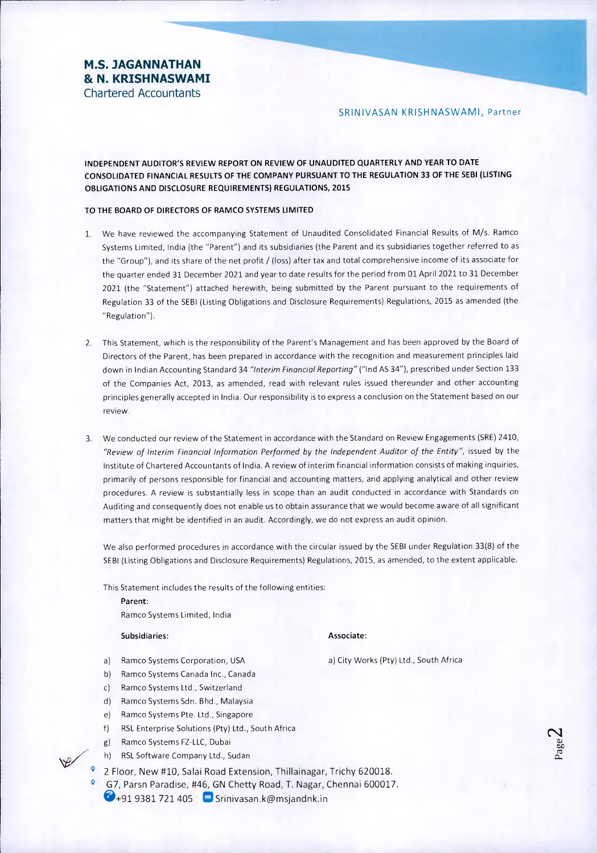# **M.S. JAGANNATHAN & N. KRISHNASWAMI**  Chartered Accountants

SRINIVASAN KRISHNASWAMI, Partner

**INDEPENDENT AUDITOR'S REVIEW REPORT ON REVIEW OF UNAUDITED QUARTERLY AND YEAR TO DATE CONSOLIDATED FINANCIAL RESULTS OF THE COMPANY PURSUANT TO THE REGULATION 33 OF THE SEBI (LISTING OBLIGATIONS AND DISCLOSURE REQUIREMENTS) REGULATIONS, 2015** 

## **TO THE BOARD OF DIRECTORS OF RAMCO SYSTEMS LIMITED**

- 1. We have reviewed the accompanying Statement of Unaudited Consolidated Financial Results of M/s. Ramco Systems Limited, India (the "Parent") and its subsidiaries (the Parent and its subsidiaries together referred to as the "Group"), and its share of the net profit / (loss) after tax and total comprehensive income of its associate for the quarter ended 31 December 2021 and year to date results for the period from 01 April 2021 to 31 December 2021 (the "Statement") attached herewith, being submitted by the Parent pursuant to the requirements of Regulation 33 of the SEBI (Listing Obligations and Disclosure Requirements) Regulations, 2015 as amended (the "Regulation").
- 2. This Statement, which is the responsibility of the Parent's Management and has been approved by the Board of Directors of the Parent, has been prepared in accordance with the recognition and measurement principles laid down in Indian Accounting Standard 34 "Interim Financial Reporting" ("Ind AS 34"), prescribed under Section 133 of the Companies Act, 2013, as amended, read with relevant rules issued thereunder and other accounting principles generally accepted in India. Our responsibility is to express a conclusion on the Statement based on our review.
- 3. We conducted our review of the Statement in accordance with the Standard on Review Engagements (SRE) 2410, "Review of Interim Financial Information Performed by the Independent Auditor of the Entity", issued by the Institute of Chartered Accountants of India. A review of interim financial information consists of making inquiries, primarily of persons responsible for financial and accounting matters, and applying analytical and other review procedures. A review is substantially less in scope than an audit conducted in accordance with Standards on Auditing and consequently does not enable us to obtain assurance that we would become aware of all significant matters that might be identified in an audit. Accordingly, we do not express an audit opinion.

We also performed procedures in accordance with the circular issued by the SEBI under Regulation 33(8) of the SEBI (Listing Obligations and Disclosure Requirements) Regulations, 2015, as amended, to the extent applicable.

This Statement includes the results of the following entities:

**Parent:**  Ramco Systems Limited, India

#### **Subsidiaries:** Associate:

- a) Ramco Systems Corporation, USA and a) City Works (Pty) Ltd., South Africa
- b) Ramco Systems Canada Inc., Canada
- c) Ramco Systems Ltd., Switzerland
- d) Ramco Systems Sdn. Bhd., Malaysia
- e) Ramco Systems Pte. Ltd., Singapore
- f) RSL Enterprise Solutions (Pty) Ltd., South Africa
- g) Ramco Systems FZ-LLC, Dubai
- h) RSL Software Company Ltd., Sudan
- 2 Floor, New #10, Salai Road Extension, Thillainagar, Trichy 620018.
- G7, Parsn Paradise, #46, GN Chetty Road, T. Nagar, Chennai 600017.  $\bigcirc$ +91 9381 721 405 Srinivasan.k@msjandnk.in

 $\mathbf{\Omega}$ a) taf.)  $\sigma$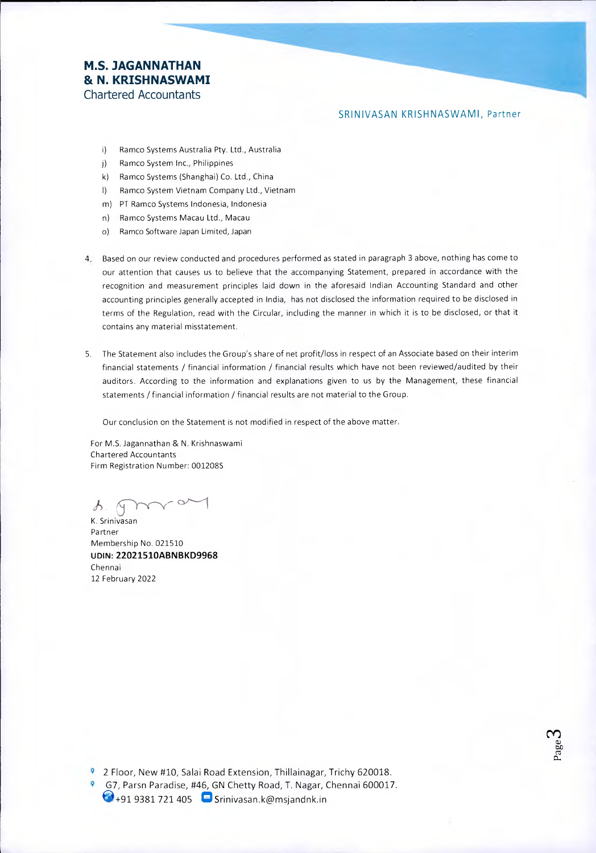# **M.S. JAGANNATHAN & N. KRISHNASWAMI**  Chartered Accountants

## SRINIVASAN KRISHNASWAMI, Partner

- i) Ramco Systems Australia Pty. Ltd., Australia
- j) Ramco System Inc., Philippines
- k) Ramco Systems (Shanghai) Co. Ltd., China
- I) Ramco System Vietnam Company Ltd., Vietnam
- m) PT Ramco Systems Indonesia, Indonesia
- n) Ramco Systems Macau Ltd., Macau
- o) Ramco Software Japan Limited, Japan
- 4. Based on our review conducted and procedures performed as stated in paragraph 3 above, nothing has come to our attention that causes us to believe that the accompanying Statement, prepared in accordance with the recognition and measurement principles laid down in the aforesaid Indian Accounting Standard and other accounting principles generally accepted in India, has not disclosed the information required to be disclosed in terms of the Regulation, read with the Circular, including the manner in which it is to be disclosed, or that it contains any material misstatement.
- 5. The Statement also includes the Group's share of net profit/loss in respect of an Associate based on their interim financial statements / financial information / financial results which have not been reviewed/audited by their auditors. According to the information and explanations given to us by the Management, these financial statements / financial information / financial results are not material to the Group.

Our conclusion on the Statement is not modified in respect of the above matter.

For M.S. Jagannathan & N. Krishnaswami Chartered Accountants Firm Registration Number: 001208S

 $5-1-1-1$ K. Srinivasan

Partner Membership No. 021510 **UDIN: 22021510ABNBKD9968**  Chennai 12 February 2022

2 Floor, New #10, Salai Road Extension, Thillainagar, Trichy 620018.

G7, Parsn Paradise, #46, GN Chetty Road, T. Nagar, Chennai 600017.  $\bigcirc$ +91 9381 721 405  $\bigcirc$  Srinivasan.k@msjandnk.in